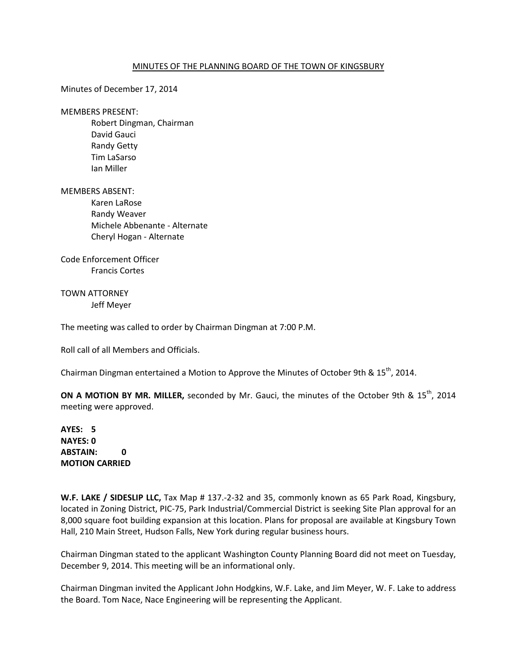## MINUTES OF THE PLANNING BOARD OF THE TOWN OF KINGSBURY

Minutes of December 17, 2014

MEMBERS PRESENT:

 Robert Dingman, Chairman David Gauci Randy Getty Tim LaSarso Ian Miller

MEMBERS ABSENT:

Karen LaRose Randy Weaver Michele Abbenante - Alternate Cheryl Hogan - Alternate

Code Enforcement Officer Francis Cortes

TOWN ATTORNEY Jeff Meyer

The meeting was called to order by Chairman Dingman at 7:00 P.M.

Roll call of all Members and Officials.

Chairman Dingman entertained a Motion to Approve the Minutes of October 9th & 15<sup>th</sup>, 2014.

**ON A MOTION BY MR. MILLER,** seconded by Mr. Gauci, the minutes of the October 9th & 15<sup>th</sup>, 2014 meeting were approved.

**AYES: 5 NAYES: 0 ABSTAIN: 0 MOTION CARRIED** 

**W.F. LAKE / SIDESLIP LLC,** Tax Map # 137.-2-32 and 35, commonly known as 65 Park Road, Kingsbury, located in Zoning District, PIC-75, Park Industrial/Commercial District is seeking Site Plan approval for an 8,000 square foot building expansion at this location. Plans for proposal are available at Kingsbury Town Hall, 210 Main Street, Hudson Falls, New York during regular business hours.

Chairman Dingman stated to the applicant Washington County Planning Board did not meet on Tuesday, December 9, 2014. This meeting will be an informational only.

Chairman Dingman invited the Applicant John Hodgkins, W.F. Lake, and Jim Meyer, W. F. Lake to address the Board. Tom Nace, Nace Engineering will be representing the Applicant.